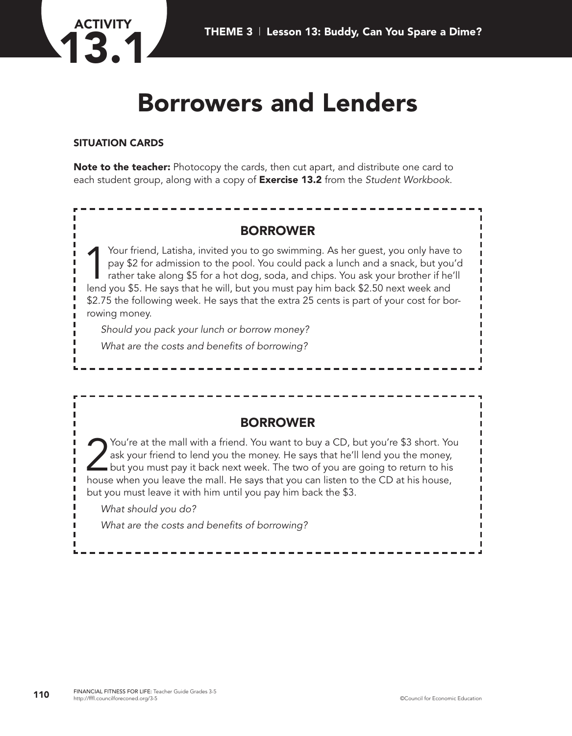

# **Borrowers and Lenders**

#### **SITUATION CARDS**

**Note to the teacher:** Photocopy the cards, then cut apart, and distribute one card to each student group, along with a copy of **Exercise 13.2** from the *Student Workbook*.

# **BORROWER**

Your friend, Latisha, invited you to go swimming. As her guest, you only have to<br>pay \$2 for admission to the pool. You could pack a lunch and a snack, but you'd<br>rather take along \$5 for a hot dog, soda, and chips. You ask pay \$2 for admission to the pool. You could pack a lunch and a snack, but you'd rather take along \$5 for a hot dog, soda, and chips. You ask your brother if he'll lend you \$5. He says that he will, but you must pay him back \$2.50 next week and \$2.75 the following week. He says that the extra 25 cents is part of your cost for borrowing money.

*Should you pack your lunch or borrow money? What are the costs and benefits of borrowing?*

# **BORROWER**

You're at the mall with a friend. You want to buy a CD, but you're \$3 short. You ask your friend to lend you the money. He says that he'll lend you the money, but you must pay it back next week. The two of you are going to ask your friend to lend you the money. He says that he'll lend you the money, but you must pay it back next week. The two of you are going to return to his house when you leave the mall. He says that you can listen to the CD at his house, but you must leave it with him until you pay him back the \$3.

*What should you do?*

*What are the costs and benefits of borrowing?*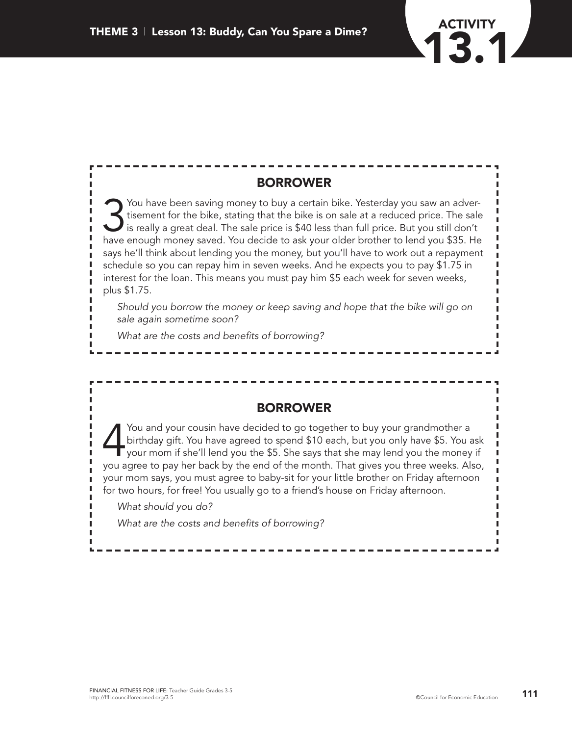

# **BORROWER**

Sou have been saving money to buy a certain bike. Yesterday you saw an advertisement for the bike, stating that the bike is on sale at a reduced price. The sale is really a great deal. The sale price is \$40 less than full tisement for the bike, stating that the bike is on sale at a reduced price. The sale is really a great deal. The sale price is \$40 less than full price. But you still don't have enough money saved. You decide to ask your older brother to lend you \$35. He says he'll think about lending you the money, but you'll have to work out a repayment schedule so you can repay him in seven weeks. And he expects you to pay \$1.75 in interest for the loan. This means you must pay him \$5 each week for seven weeks, plus \$1.75.

*Should you borrow the money or keep saving and hope that the bike will go on sale again sometime soon?*

*What are the costs and benefits of borrowing?*

### **BORROWER**

You and your cousin have decided to go together to buy your grandmother a<br>birthday gift. You have agreed to spend \$10 each, but you only have \$5. You<br>your mom if she'll lend you the \$5. She says that she may lend you the m birthday gift. You have agreed to spend \$10 each, but you only have \$5. You ask your mom if she'll lend you the \$5. She says that she may lend you the money if you agree to pay her back by the end of the month. That gives you three weeks. Also, your mom says, you must agree to baby-sit for your little brother on Friday afternoon for two hours, for free! You usually go to a friend's house on Friday afternoon.

*What should you do?*

*What are the costs and benefits of borrowing?*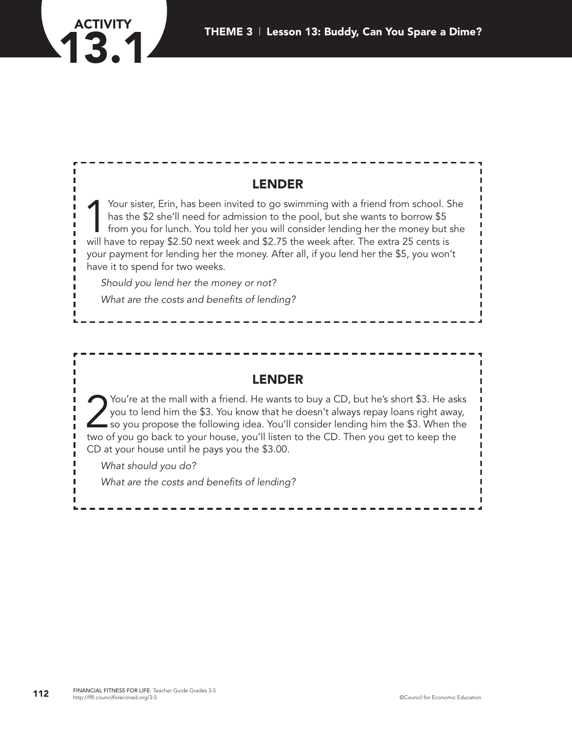



# **LENDER**

Your sister, Erin, has been invited to go swimming with a friend from school. She<br>has the \$2 she'll need for admission to the pool, but she wants to borrow \$5<br>from you for lunch. You told her you will consider lending her has the \$2 she'll need for admission to the pool, but she wants to borrow \$5 from you for lunch. You told her you will consider lending her the money but she will have to repay \$2.50 next week and \$2.75 the week after. The extra 25 cents is your payment for lending her the money. After all, if you lend her the \$5, you won't have it to spend for two weeks.

*Should you lend her the money or not?*

*What are the costs and benefits of lending?*

### **LENDER**

You're at the mall with a friend. He wants to buy a CD, but he's short \$3. He asks<br>you to lend him the \$3. You know that he doesn't always repay loans right away,<br>so you propose the following idea. You'll consider lending you to lend him the \$3. You know that he doesn't always repay loans right away, so you propose the following idea. You'll consider lending him the \$3. When the two of you go back to your house, you'll listen to the CD. Then you get to keep the CD at your house until he pays you the \$3.00.

*What should you do?*

*What are the costs and benefits of lending?*